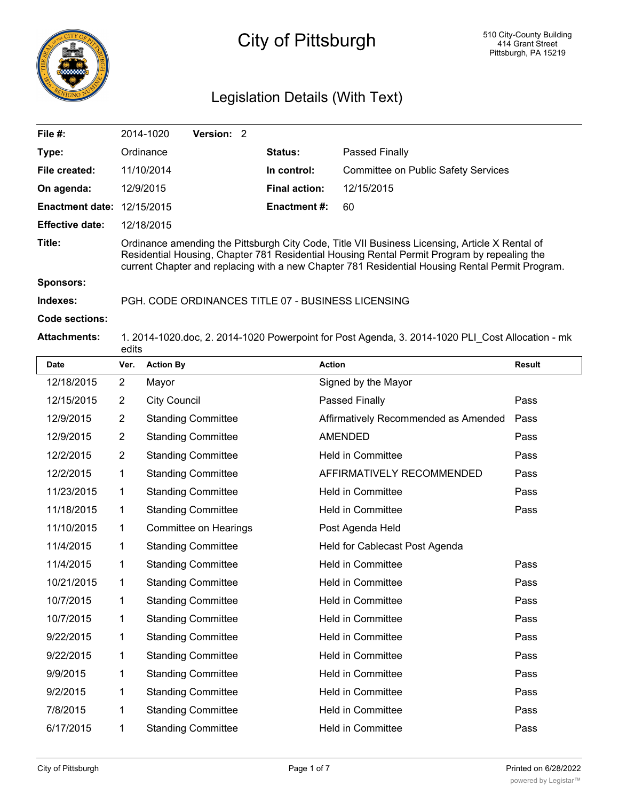

# City of Pittsburgh

# Legislation Details (With Text)

| File $#$ :                        |                                                                                                                                                                                                                                                                                                  | Version: 2<br>2014-1020   |                      |                                            |               |  |  |
|-----------------------------------|--------------------------------------------------------------------------------------------------------------------------------------------------------------------------------------------------------------------------------------------------------------------------------------------------|---------------------------|----------------------|--------------------------------------------|---------------|--|--|
| Type:                             |                                                                                                                                                                                                                                                                                                  | Ordinance                 | Status:              | Passed Finally                             |               |  |  |
| File created:                     |                                                                                                                                                                                                                                                                                                  | 11/10/2014                | In control:          | <b>Committee on Public Safety Services</b> |               |  |  |
| On agenda:                        |                                                                                                                                                                                                                                                                                                  | 12/9/2015                 | <b>Final action:</b> | 12/15/2015                                 |               |  |  |
| <b>Enactment date: 12/15/2015</b> |                                                                                                                                                                                                                                                                                                  |                           | <b>Enactment#:</b>   | 60                                         |               |  |  |
| <b>Effective date:</b>            |                                                                                                                                                                                                                                                                                                  | 12/18/2015                |                      |                                            |               |  |  |
| Title:                            | Ordinance amending the Pittsburgh City Code, Title VII Business Licensing, Article X Rental of<br>Residential Housing, Chapter 781 Residential Housing Rental Permit Program by repealing the<br>current Chapter and replacing with a new Chapter 781 Residential Housing Rental Permit Program. |                           |                      |                                            |               |  |  |
| <b>Sponsors:</b>                  |                                                                                                                                                                                                                                                                                                  |                           |                      |                                            |               |  |  |
| Indexes:                          | PGH. CODE ORDINANCES TITLE 07 - BUSINESS LICENSING                                                                                                                                                                                                                                               |                           |                      |                                            |               |  |  |
| <b>Code sections:</b>             |                                                                                                                                                                                                                                                                                                  |                           |                      |                                            |               |  |  |
| <b>Attachments:</b>               | 1. 2014-1020.doc, 2. 2014-1020 Powerpoint for Post Agenda, 3. 2014-1020 PLI Cost Allocation - mk<br>edits                                                                                                                                                                                        |                           |                      |                                            |               |  |  |
| <b>Date</b>                       | Ver.                                                                                                                                                                                                                                                                                             | <b>Action By</b>          |                      | <b>Action</b>                              | <b>Result</b> |  |  |
| 12/18/2015                        | $\overline{2}$                                                                                                                                                                                                                                                                                   | Mayor                     |                      | Signed by the Mayor                        |               |  |  |
| 12/15/2015                        | 2                                                                                                                                                                                                                                                                                                | <b>City Council</b>       |                      | Passed Finally                             | Pass          |  |  |
| 12/9/2015                         | $\overline{2}$                                                                                                                                                                                                                                                                                   | <b>Standing Committee</b> |                      | Affirmatively Recommended as Amended       | Pass          |  |  |
| 12/9/2015                         | $\overline{2}$                                                                                                                                                                                                                                                                                   | <b>Standing Committee</b> |                      | <b>AMENDED</b>                             | Pass          |  |  |
| 12/2/2015                         | $\overline{2}$                                                                                                                                                                                                                                                                                   | <b>Standing Committee</b> |                      | <b>Held in Committee</b>                   | Pass          |  |  |
| 12/2/2015                         | 1                                                                                                                                                                                                                                                                                                | <b>Standing Committee</b> |                      | AFFIRMATIVELY RECOMMENDED                  | Pass          |  |  |
| 11/23/2015                        | 1                                                                                                                                                                                                                                                                                                | <b>Standing Committee</b> |                      | <b>Held in Committee</b>                   | Pass          |  |  |
| 11/18/2015                        | 1                                                                                                                                                                                                                                                                                                | <b>Standing Committee</b> |                      | <b>Held in Committee</b>                   | Pass          |  |  |
| 11/10/2015                        | 1                                                                                                                                                                                                                                                                                                | Committee on Hearings     |                      | Post Agenda Held                           |               |  |  |
| 11/4/2015                         | 1                                                                                                                                                                                                                                                                                                | <b>Standing Committee</b> |                      | Held for Cablecast Post Agenda             |               |  |  |
| 11/4/2015                         | 1                                                                                                                                                                                                                                                                                                | <b>Standing Committee</b> |                      | <b>Held in Committee</b>                   | Pass          |  |  |
| 10/21/2015                        | 1                                                                                                                                                                                                                                                                                                | <b>Standing Committee</b> |                      | <b>Held in Committee</b>                   | Pass          |  |  |
| 10/7/2015                         | 1                                                                                                                                                                                                                                                                                                | <b>Standing Committee</b> |                      | <b>Held in Committee</b>                   | Pass          |  |  |
| 10/7/2015                         | 1                                                                                                                                                                                                                                                                                                | <b>Standing Committee</b> |                      | <b>Held in Committee</b>                   | Pass          |  |  |

9/22/2015 1 Standing Committee Held in Committee Pass 9/22/2015 1 Standing Committee Held in Committee Pass 9/9/2015 1 Standing Committee Held in Committee Pass 9/2/2015 1 Standing Committee Held in Committee Pass 7/8/2015 1 Standing Committee Held in Committee Pass 6/17/2015 1 Standing Committee Held in Committee Pass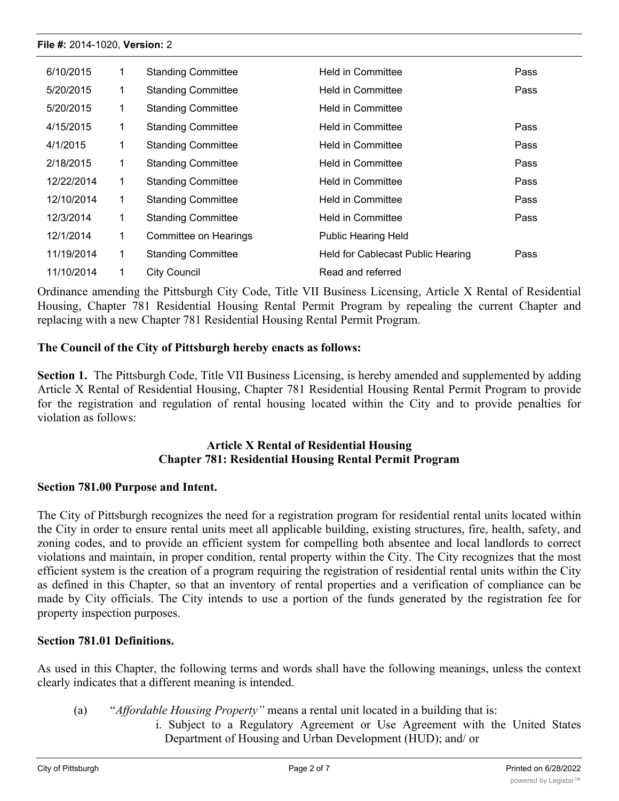| 6/10/2015  |             | <b>Standing Committee</b> | <b>Held in Committee</b>          | Pass |
|------------|-------------|---------------------------|-----------------------------------|------|
| 5/20/2015  | 1           | <b>Standing Committee</b> | <b>Held in Committee</b>          | Pass |
| 5/20/2015  | 1           | <b>Standing Committee</b> | <b>Held in Committee</b>          |      |
| 4/15/2015  | 1           | <b>Standing Committee</b> | <b>Held in Committee</b>          | Pass |
| 4/1/2015   | 1           | <b>Standing Committee</b> | Held in Committee                 | Pass |
| 2/18/2015  |             | <b>Standing Committee</b> | <b>Held in Committee</b>          | Pass |
| 12/22/2014 | 1           | <b>Standing Committee</b> | Held in Committee                 | Pass |
| 12/10/2014 | 1           | <b>Standing Committee</b> | <b>Held in Committee</b>          | Pass |
| 12/3/2014  | 1           | <b>Standing Committee</b> | Held in Committee                 | Pass |
| 12/1/2014  | 1           | Committee on Hearings     | <b>Public Hearing Held</b>        |      |
| 11/19/2014 | $\mathbf 1$ | <b>Standing Committee</b> | Held for Cablecast Public Hearing | Pass |
| 11/10/2014 |             | <b>City Council</b>       | Read and referred                 |      |

Ordinance amending the Pittsburgh City Code, Title VII Business Licensing, Article X Rental of Residential Housing, Chapter 781 Residential Housing Rental Permit Program by repealing the current Chapter and replacing with a new Chapter 781 Residential Housing Rental Permit Program.

# **The Council of the City of Pittsburgh hereby enacts as follows:**

**Section 1.** The Pittsburgh Code, Title VII Business Licensing, is hereby amended and supplemented by adding Article X Rental of Residential Housing, Chapter 781 Residential Housing Rental Permit Program to provide for the registration and regulation of rental housing located within the City and to provide penalties for violation as follows:

# **Article X Rental of Residential Housing Chapter 781: Residential Housing Rental Permit Program**

# **Section 781.00 Purpose and Intent.**

The City of Pittsburgh recognizes the need for a registration program for residential rental units located within the City in order to ensure rental units meet all applicable building, existing structures, fire, health, safety, and zoning codes, and to provide an efficient system for compelling both absentee and local landlords to correct violations and maintain, in proper condition, rental property within the City. The City recognizes that the most efficient system is the creation of a program requiring the registration of residential rental units within the City as defined in this Chapter, so that an inventory of rental properties and a verification of compliance can be made by City officials. The City intends to use a portion of the funds generated by the registration fee for property inspection purposes.

# **Section 781.01 Definitions.**

As used in this Chapter, the following terms and words shall have the following meanings, unless the context clearly indicates that a different meaning is intended.

- (a) "*Affordable Housing Property"* means a rental unit located in a building that is:
	- i. Subject to a Regulatory Agreement or Use Agreement with the United States Department of Housing and Urban Development (HUD); and/ or

ii. Subject to a Regulatory Agreement, Indenture of Restrictive Covenants or other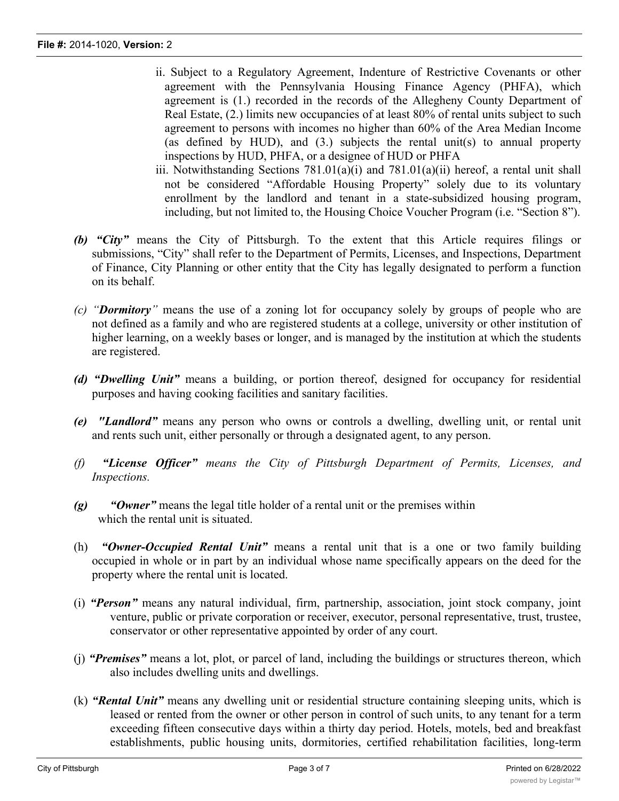- ii. Subject to a Regulatory Agreement, Indenture of Restrictive Covenants or other agreement with the Pennsylvania Housing Finance Agency (PHFA), which agreement is (1.) recorded in the records of the Allegheny County Department of Real Estate, (2.) limits new occupancies of at least 80% of rental units subject to such agreement to persons with incomes no higher than 60% of the Area Median Income (as defined by HUD), and (3.) subjects the rental unit(s) to annual property inspections by HUD, PHFA, or a designee of HUD or PHFA
- iii. Notwithstanding Sections  $781.01(a)(i)$  and  $781.01(a)(ii)$  hereof, a rental unit shall not be considered "Affordable Housing Property" solely due to its voluntary enrollment by the landlord and tenant in a state-subsidized housing program, including, but not limited to, the Housing Choice Voucher Program (i.e. "Section 8").
- *(b) "City"* means the City of Pittsburgh. To the extent that this Article requires filings or submissions, "City" shall refer to the Department of Permits, Licenses, and Inspections, Department of Finance, City Planning or other entity that the City has legally designated to perform a function on its behalf.
- *(c) "Dormitory"* means the use of a zoning lot for occupancy solely by groups of people who are not defined as a family and who are registered students at a college, university or other institution of higher learning, on a weekly bases or longer, and is managed by the institution at which the students are registered.
- *(d) "Dwelling Unit"* means a building, or portion thereof, designed for occupancy for residential purposes and having cooking facilities and sanitary facilities.
- *(e) "Landlord"* means any person who owns or controls a dwelling, dwelling unit, or rental unit and rents such unit, either personally or through a designated agent, to any person.
- *(f) "License Officer" means the City of Pittsburgh Department of Permits, Licenses, and Inspections.*
- *(g) "Owner"* means the legal title holder of a rental unit or the premises within which the rental unit is situated.
- (h) *"Owner-Occupied Rental Unit"* means a rental unit that is a one or two family building occupied in whole or in part by an individual whose name specifically appears on the deed for the property where the rental unit is located.
- (i) *"Person"* means any natural individual, firm, partnership, association, joint stock company, joint venture, public or private corporation or receiver, executor, personal representative, trust, trustee, conservator or other representative appointed by order of any court.
- (j) *"Premises"* means a lot, plot, or parcel of land, including the buildings or structures thereon, which also includes dwelling units and dwellings.
- (k) *"Rental Unit"* means any dwelling unit or residential structure containing sleeping units, which is leased or rented from the owner or other person in control of such units, to any tenant for a term exceeding fifteen consecutive days within a thirty day period. Hotels, motels, bed and breakfast establishments, public housing units, dormitories, certified rehabilitation facilities, long-term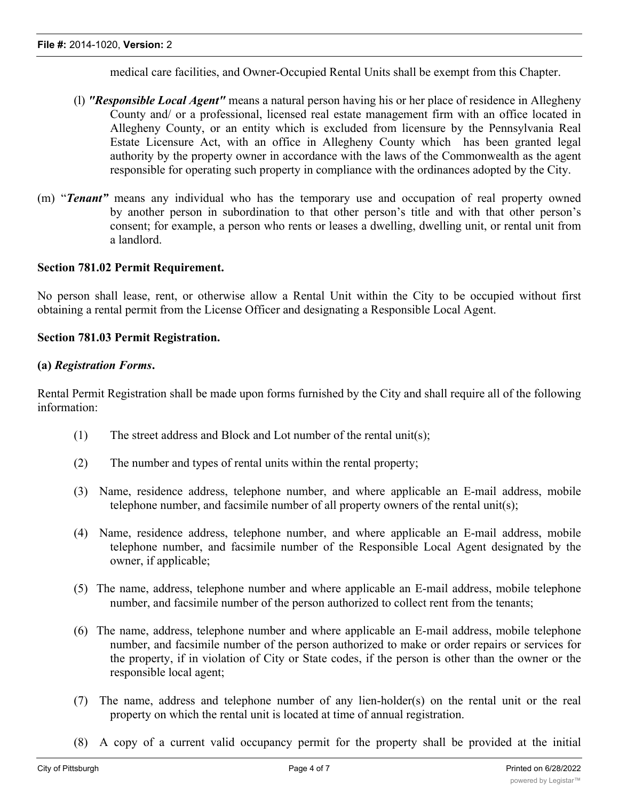medical care facilities, and Owner-Occupied Rental Units shall be exempt from this Chapter.

- (l) *"Responsible Local Agent"* means a natural person having his or her place of residence in Allegheny County and/ or a professional, licensed real estate management firm with an office located in Allegheny County, or an entity which is excluded from licensure by the Pennsylvania Real Estate Licensure Act, with an office in Allegheny County which has been granted legal authority by the property owner in accordance with the laws of the Commonwealth as the agent responsible for operating such property in compliance with the ordinances adopted by the City.
- (m) "*Tenant"* means any individual who has the temporary use and occupation of real property owned by another person in subordination to that other person's title and with that other person's consent; for example, a person who rents or leases a dwelling, dwelling unit, or rental unit from a landlord.

#### **Section 781.02 Permit Requirement.**

No person shall lease, rent, or otherwise allow a Rental Unit within the City to be occupied without first obtaining a rental permit from the License Officer and designating a Responsible Local Agent.

#### **Section 781.03 Permit Registration.**

#### **(a)** *Registration Forms***.**

Rental Permit Registration shall be made upon forms furnished by the City and shall require all of the following information:

- (1) The street address and Block and Lot number of the rental unit(s);
- (2) The number and types of rental units within the rental property;
- (3) Name, residence address, telephone number, and where applicable an E-mail address, mobile telephone number, and facsimile number of all property owners of the rental unit(s);
- (4) Name, residence address, telephone number, and where applicable an E-mail address, mobile telephone number, and facsimile number of the Responsible Local Agent designated by the owner, if applicable;
- (5) The name, address, telephone number and where applicable an E-mail address, mobile telephone number, and facsimile number of the person authorized to collect rent from the tenants;
- (6) The name, address, telephone number and where applicable an E-mail address, mobile telephone number, and facsimile number of the person authorized to make or order repairs or services for the property, if in violation of City or State codes, if the person is other than the owner or the responsible local agent;
- (7) The name, address and telephone number of any lien-holder(s) on the rental unit or the real property on which the rental unit is located at time of annual registration.
- (8) A copy of a current valid occupancy permit for the property shall be provided at the initial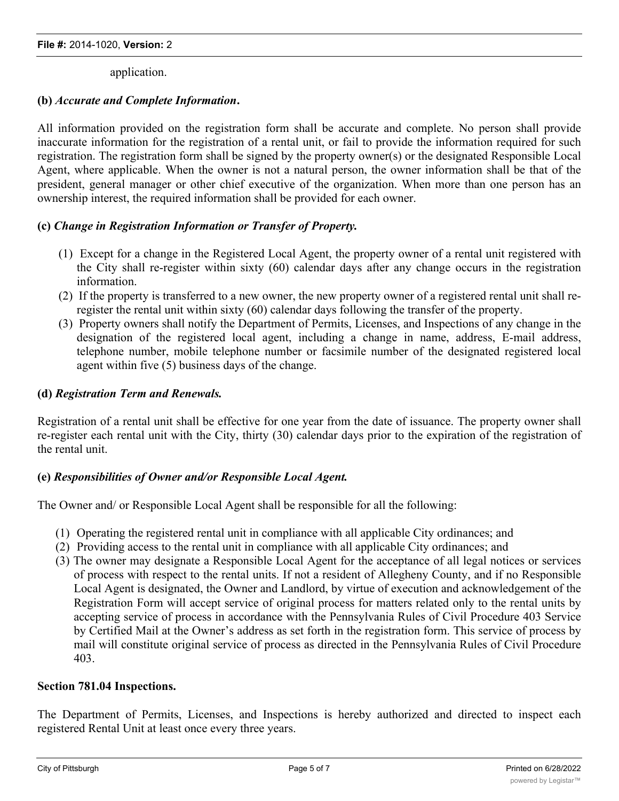application.

## **(b)** *Accurate and Complete Information***.**

All information provided on the registration form shall be accurate and complete. No person shall provide inaccurate information for the registration of a rental unit, or fail to provide the information required for such registration. The registration form shall be signed by the property owner(s) or the designated Responsible Local Agent, where applicable. When the owner is not a natural person, the owner information shall be that of the president, general manager or other chief executive of the organization. When more than one person has an ownership interest, the required information shall be provided for each owner.

### **(c)** *Change in Registration Information or Transfer of Property.*

- (1) Except for a change in the Registered Local Agent, the property owner of a rental unit registered with the City shall re-register within sixty (60) calendar days after any change occurs in the registration information.
- (2) If the property is transferred to a new owner, the new property owner of a registered rental unit shall reregister the rental unit within sixty (60) calendar days following the transfer of the property.
- (3) Property owners shall notify the Department of Permits, Licenses, and Inspections of any change in the designation of the registered local agent, including a change in name, address, E-mail address, telephone number, mobile telephone number or facsimile number of the designated registered local agent within five (5) business days of the change.

#### **(d)** *Registration Term and Renewals.*

Registration of a rental unit shall be effective for one year from the date of issuance. The property owner shall re-register each rental unit with the City, thirty (30) calendar days prior to the expiration of the registration of the rental unit.

#### **(e)** *Responsibilities of Owner and/or Responsible Local Agent.*

The Owner and/ or Responsible Local Agent shall be responsible for all the following:

- (1) Operating the registered rental unit in compliance with all applicable City ordinances; and
- (2) Providing access to the rental unit in compliance with all applicable City ordinances; and
- (3) The owner may designate a Responsible Local Agent for the acceptance of all legal notices or services of process with respect to the rental units. If not a resident of Allegheny County, and if no Responsible Local Agent is designated, the Owner and Landlord, by virtue of execution and acknowledgement of the Registration Form will accept service of original process for matters related only to the rental units by accepting service of process in accordance with the Pennsylvania Rules of Civil Procedure 403 Service by Certified Mail at the Owner's address as set forth in the registration form. This service of process by mail will constitute original service of process as directed in the Pennsylvania Rules of Civil Procedure 403.

#### **Section 781.04 Inspections.**

The Department of Permits, Licenses, and Inspections is hereby authorized and directed to inspect each registered Rental Unit at least once every three years.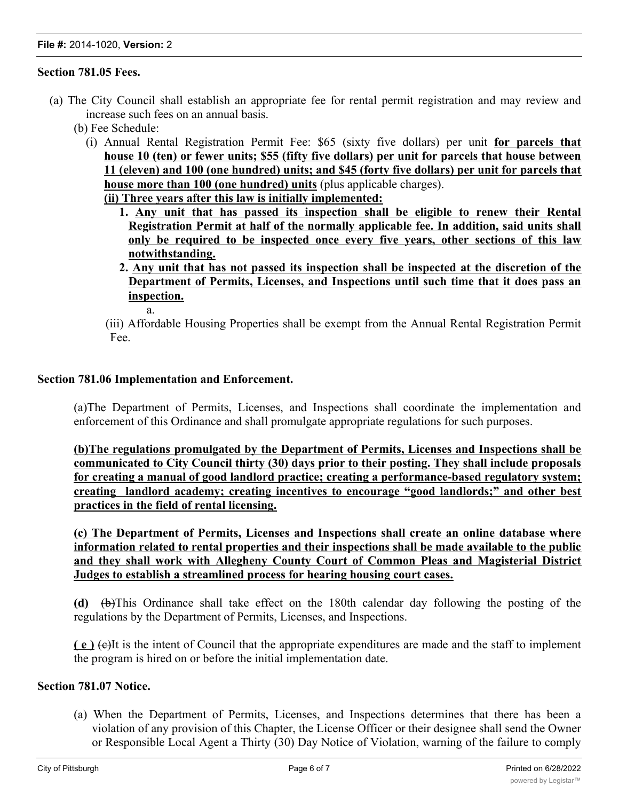#### **Section 781.05 Fees.**

- (a) The City Council shall establish an appropriate fee for rental permit registration and may review and increase such fees on an annual basis.
	- (b) Fee Schedule:
		- (i) Annual Rental Registration Permit Fee: \$65 (sixty five dollars) per unit **for parcels that house 10 (ten) or fewer units; \$55 (fifty five dollars) per unit for parcels that house between 11 (eleven) and 100 (one hundred) units; and \$45 (forty five dollars) per unit for parcels that house more than 100 (one hundred) units** (plus applicable charges). **(ii) Three years after this law is initially implemented:**
			- **1. Any unit that has passed its inspection shall be eligible to renew their Rental Registration Permit at half of the normally applicable fee. In addition, said units shall only be required to be inspected once every five years, other sections of this law notwithstanding.**
			- **2. Any unit that has not passed its inspection shall be inspected at the discretion of the Department of Permits, Licenses, and Inspections until such time that it does pass an inspection.**
				- a.
			- (iii) Affordable Housing Properties shall be exempt from the Annual Rental Registration Permit Fee.

#### **Section 781.06 Implementation and Enforcement.**

(a)The Department of Permits, Licenses, and Inspections shall coordinate the implementation and enforcement of this Ordinance and shall promulgate appropriate regulations for such purposes.

**(b)The regulations promulgated by the Department of Permits, Licenses and Inspections shall be communicated to City Council thirty (30) days prior to their posting. They shall include proposals for creating a manual of good landlord practice; creating a performance-based regulatory system; creating landlord academy; creating incentives to encourage "good landlords;" and other best practices in the field of rental licensing.**

**(c) The Department of Permits, Licenses and Inspections shall create an online database where information related to rental properties and their inspections shall be made available to the public and they shall work with Allegheny County Court of Common Pleas and Magisterial District Judges to establish a streamlined process for hearing housing court cases.**

**(d)** (b)This Ordinance shall take effect on the 180th calendar day following the posting of the regulations by the Department of Permits, Licenses, and Inspections.

**( e )** (c)It is the intent of Council that the appropriate expenditures are made and the staff to implement the program is hired on or before the initial implementation date.

#### **Section 781.07 Notice.**

(a) When the Department of Permits, Licenses, and Inspections determines that there has been a violation of any provision of this Chapter, the License Officer or their designee shall send the Owner or Responsible Local Agent a Thirty (30) Day Notice of Violation, warning of the failure to comply

with the Chapter. Such written notice shall provide with specificity any violation, any correction, any correction, any correction, any correction, any correction, any correction, any correction, any correction, any corre